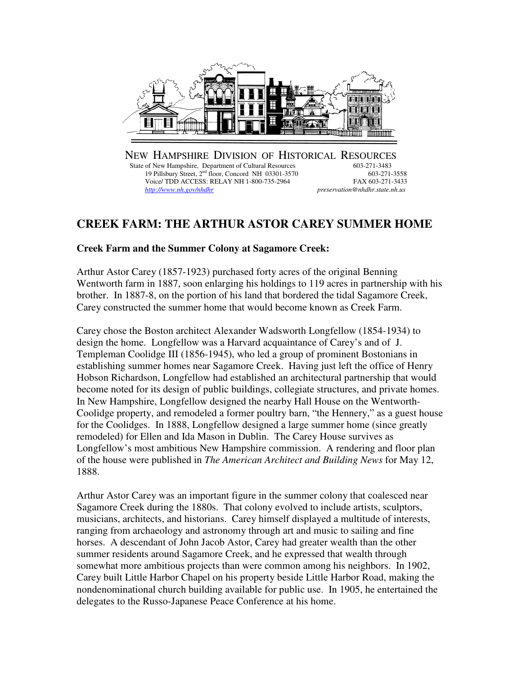

NEW HAMPSHIRE DIVISION OF HISTORICAL RESOURCES<br>State of New Hampshire, Department of Cultural Resources 603-271-3483 State of New Hampshire, Department of Cultural Resources 603-271-3483<br>19 Pillsbury Street, 2<sup>nd</sup> floor, Concord NH 03301-3570 603-271-3558 19 Pillsbury Street, 2<sup>nd</sup> floor, Concord NH 03301-3570 603-271-3558<br>Voice/ TDD ACCESS: RELAY NH 1-800-735-2964 FAX 603-271-3433 Voice/ TDD ACCESS: RELAY NH 1-800-735-2964<br>http://www.nh.gov/nhdhr  *http://www.nh.gov/nhdhr preservation@nhdhr.state.nh.us* 

## **CREEK FARM: THE ARTHUR ASTOR CAREY SUMMER HOME**

## **Creek Farm and the Summer Colony at Sagamore Creek:**

Arthur Astor Carey (1857-1923) purchased forty acres of the original Benning Wentworth farm in 1887, soon enlarging his holdings to 119 acres in partnership with his brother. In 1887-8, on the portion of his land that bordered the tidal Sagamore Creek, Carey constructed the summer home that would become known as Creek Farm.

Carey chose the Boston architect Alexander Wadsworth Longfellow (1854-1934) to design the home. Longfellow was a Harvard acquaintance of Carey's and of J. Templeman Coolidge III (1856-1945), who led a group of prominent Bostonians in establishing summer homes near Sagamore Creek. Having just left the office of Henry Hobson Richardson, Longfellow had established an architectural partnership that would become noted for its design of public buildings, collegiate structures, and private homes. In New Hampshire, Longfellow designed the nearby Hall House on the Wentworth-Coolidge property, and remodeled a former poultry barn, "the Hennery," as a guest house for the Coolidges. In 1888, Longfellow designed a large summer home (since greatly remodeled) for Ellen and Ida Mason in Dublin. The Carey House survives as Longfellow's most ambitious New Hampshire commission. A rendering and floor plan of the house were published in *The American Architect and Building News* for May 12, 1888.

Arthur Astor Carey was an important figure in the summer colony that coalesced near Sagamore Creek during the 1880s. That colony evolved to include artists, sculptors, musicians, architects, and historians. Carey himself displayed a multitude of interests, ranging from archaeology and astronomy through art and music to sailing and fine horses. A descendant of John Jacob Astor, Carey had greater wealth than the other summer residents around Sagamore Creek, and he expressed that wealth through somewhat more ambitious projects than were common among his neighbors. In 1902, Carey built Little Harbor Chapel on his property beside Little Harbor Road, making the nondenominational church building available for public use. In 1905, he entertained the delegates to the Russo-Japanese Peace Conference at his home.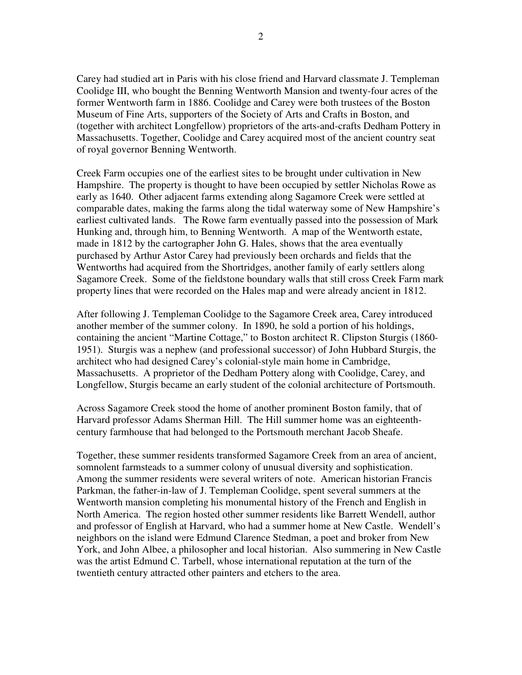Carey had studied art in Paris with his close friend and Harvard classmate J. Templeman Coolidge III, who bought the Benning Wentworth Mansion and twenty-four acres of the former Wentworth farm in 1886. Coolidge and Carey were both trustees of the Boston Museum of Fine Arts, supporters of the Society of Arts and Crafts in Boston, and (together with architect Longfellow) proprietors of the arts-and-crafts Dedham Pottery in Massachusetts. Together, Coolidge and Carey acquired most of the ancient country seat of royal governor Benning Wentworth.

Creek Farm occupies one of the earliest sites to be brought under cultivation in New Hampshire. The property is thought to have been occupied by settler Nicholas Rowe as early as 1640. Other adjacent farms extending along Sagamore Creek were settled at comparable dates, making the farms along the tidal waterway some of New Hampshire's earliest cultivated lands. The Rowe farm eventually passed into the possession of Mark Hunking and, through him, to Benning Wentworth. A map of the Wentworth estate, made in 1812 by the cartographer John G. Hales, shows that the area eventually purchased by Arthur Astor Carey had previously been orchards and fields that the Wentworths had acquired from the Shortridges, another family of early settlers along Sagamore Creek. Some of the fieldstone boundary walls that still cross Creek Farm mark property lines that were recorded on the Hales map and were already ancient in 1812.

After following J. Templeman Coolidge to the Sagamore Creek area, Carey introduced another member of the summer colony. In 1890, he sold a portion of his holdings, containing the ancient "Martine Cottage," to Boston architect R. Clipston Sturgis (1860- 1951). Sturgis was a nephew (and professional successor) of John Hubbard Sturgis, the architect who had designed Carey's colonial-style main home in Cambridge, Massachusetts. A proprietor of the Dedham Pottery along with Coolidge, Carey, and Longfellow, Sturgis became an early student of the colonial architecture of Portsmouth.

Across Sagamore Creek stood the home of another prominent Boston family, that of Harvard professor Adams Sherman Hill. The Hill summer home was an eighteenthcentury farmhouse that had belonged to the Portsmouth merchant Jacob Sheafe.

Together, these summer residents transformed Sagamore Creek from an area of ancient, somnolent farmsteads to a summer colony of unusual diversity and sophistication. Among the summer residents were several writers of note. American historian Francis Parkman, the father-in-law of J. Templeman Coolidge, spent several summers at the Wentworth mansion completing his monumental history of the French and English in North America. The region hosted other summer residents like Barrett Wendell, author and professor of English at Harvard, who had a summer home at New Castle. Wendell's neighbors on the island were Edmund Clarence Stedman, a poet and broker from New York, and John Albee, a philosopher and local historian. Also summering in New Castle was the artist Edmund C. Tarbell, whose international reputation at the turn of the twentieth century attracted other painters and etchers to the area.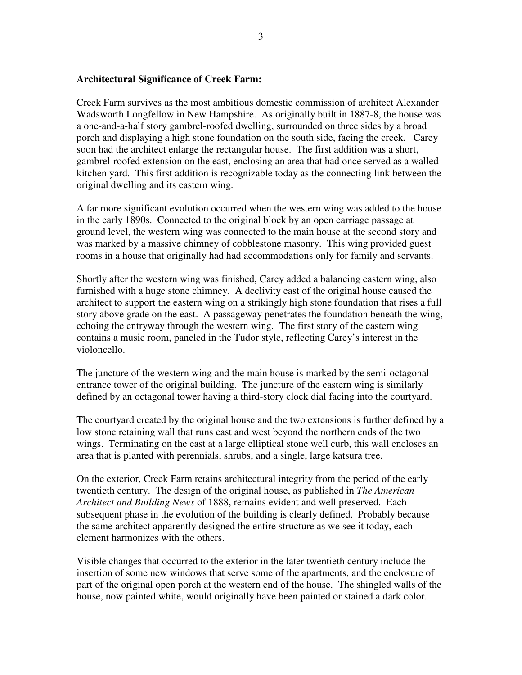## **Architectural Significance of Creek Farm:**

Creek Farm survives as the most ambitious domestic commission of architect Alexander Wadsworth Longfellow in New Hampshire. As originally built in 1887-8, the house was a one-and-a-half story gambrel-roofed dwelling, surrounded on three sides by a broad porch and displaying a high stone foundation on the south side, facing the creek. Carey soon had the architect enlarge the rectangular house. The first addition was a short, gambrel-roofed extension on the east, enclosing an area that had once served as a walled kitchen yard. This first addition is recognizable today as the connecting link between the original dwelling and its eastern wing.

A far more significant evolution occurred when the western wing was added to the house in the early 1890s. Connected to the original block by an open carriage passage at ground level, the western wing was connected to the main house at the second story and was marked by a massive chimney of cobblestone masonry. This wing provided guest rooms in a house that originally had had accommodations only for family and servants.

Shortly after the western wing was finished, Carey added a balancing eastern wing, also furnished with a huge stone chimney. A declivity east of the original house caused the architect to support the eastern wing on a strikingly high stone foundation that rises a full story above grade on the east. A passageway penetrates the foundation beneath the wing, echoing the entryway through the western wing. The first story of the eastern wing contains a music room, paneled in the Tudor style, reflecting Carey's interest in the violoncello.

The juncture of the western wing and the main house is marked by the semi-octagonal entrance tower of the original building. The juncture of the eastern wing is similarly defined by an octagonal tower having a third-story clock dial facing into the courtyard.

The courtyard created by the original house and the two extensions is further defined by a low stone retaining wall that runs east and west beyond the northern ends of the two wings. Terminating on the east at a large elliptical stone well curb, this wall encloses an area that is planted with perennials, shrubs, and a single, large katsura tree.

On the exterior, Creek Farm retains architectural integrity from the period of the early twentieth century. The design of the original house, as published in *The American Architect and Building News* of 1888, remains evident and well preserved. Each subsequent phase in the evolution of the building is clearly defined. Probably because the same architect apparently designed the entire structure as we see it today, each element harmonizes with the others.

Visible changes that occurred to the exterior in the later twentieth century include the insertion of some new windows that serve some of the apartments, and the enclosure of part of the original open porch at the western end of the house. The shingled walls of the house, now painted white, would originally have been painted or stained a dark color.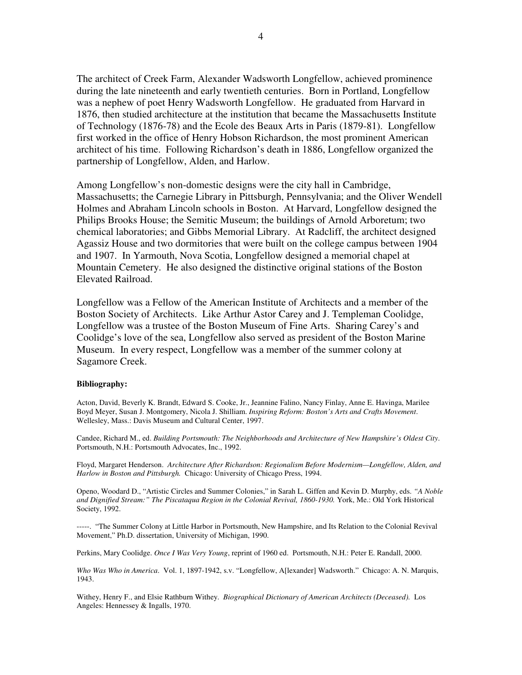The architect of Creek Farm, Alexander Wadsworth Longfellow, achieved prominence during the late nineteenth and early twentieth centuries. Born in Portland, Longfellow was a nephew of poet Henry Wadsworth Longfellow. He graduated from Harvard in 1876, then studied architecture at the institution that became the Massachusetts Institute of Technology (1876-78) and the Ecole des Beaux Arts in Paris (1879-81). Longfellow first worked in the office of Henry Hobson Richardson, the most prominent American architect of his time. Following Richardson's death in 1886, Longfellow organized the partnership of Longfellow, Alden, and Harlow.

Among Longfellow's non-domestic designs were the city hall in Cambridge, Massachusetts; the Carnegie Library in Pittsburgh, Pennsylvania; and the Oliver Wendell Holmes and Abraham Lincoln schools in Boston. At Harvard, Longfellow designed the Philips Brooks House; the Semitic Museum; the buildings of Arnold Arboretum; two chemical laboratories; and Gibbs Memorial Library. At Radcliff, the architect designed Agassiz House and two dormitories that were built on the college campus between 1904 and 1907. In Yarmouth, Nova Scotia, Longfellow designed a memorial chapel at Mountain Cemetery. He also designed the distinctive original stations of the Boston Elevated Railroad.

Longfellow was a Fellow of the American Institute of Architects and a member of the Boston Society of Architects. Like Arthur Astor Carey and J. Templeman Coolidge, Longfellow was a trustee of the Boston Museum of Fine Arts. Sharing Carey's and Coolidge's love of the sea, Longfellow also served as president of the Boston Marine Museum. In every respect, Longfellow was a member of the summer colony at Sagamore Creek.

## **Bibliography:**

Acton, David, Beverly K. Brandt, Edward S. Cooke, Jr., Jeannine Falino, Nancy Finlay, Anne E. Havinga, Marilee Boyd Meyer, Susan J. Montgomery, Nicola J. Shilliam. *Inspiring Reform: Boston's Arts and Crafts Movement*. Wellesley, Mass.: Davis Museum and Cultural Center, 1997.

Candee, Richard M., ed. *Building Portsmouth: The Neighborhoods and Architecture of New Hampshire's Oldest City*. Portsmouth, N.H.: Portsmouth Advocates, Inc., 1992.

Floyd, Margaret Henderson. *Architecture After Richardson: Regionalism Before Modernism—Longfellow, Alden, and Harlow in Boston and Pittsburgh.* Chicago: University of Chicago Press, 1994.

Openo, Woodard D., "Artistic Circles and Summer Colonies," in Sarah L. Giffen and Kevin D. Murphy, eds. *"A Noble and Dignified Stream:" The Piscataqua Region in the Colonial Revival, 1860-1930.* York, Me.: Old York Historical Society, 1992.

-----. "The Summer Colony at Little Harbor in Portsmouth, New Hampshire, and Its Relation to the Colonial Revival Movement," Ph.D. dissertation, University of Michigan, 1990.

Perkins, Mary Coolidge. *Once I Was Very Young*, reprint of 1960 ed. Portsmouth, N.H.: Peter E. Randall, 2000.

*Who Was Who in America*. Vol. 1, 1897-1942, s.v. "Longfellow, A[lexander] Wadsworth." Chicago: A. N. Marquis, 1943.

Withey, Henry F., and Elsie Rathburn Withey. *Biographical Dictionary of American Architects (Deceased).* Los Angeles: Hennessey & Ingalls, 1970.